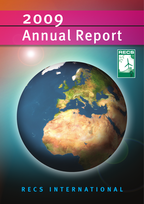# 2009 Annual Report



**RECS INTERNATIONAL**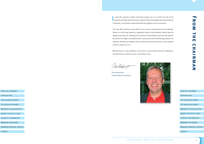[The voluntary market](#page-3-0)

[The regulated market](#page-4-0)

[market statistics 2009](#page-5-0)

[Members the board](#page-7-0)

[financial information](#page-6-0)

[Members working groups](#page-8-0)

[contact](#page-10-0)

[Members & organisation](#page-4-0)

# **FROM THE CHAIRMAN** MARK GANIS 2 RMATICS 2 RMATICS 2 RMATICS 2 ٦n 刀  $\bullet$ 3  $\blacksquare$ ΞĒ **TT**  $\blacksquare$ ΞĒ  $\blacktriangleright$ RNA Z

| <b>FROM THE CHAIRMAN</b>      |
|-------------------------------|
|                               |
| INTRODUCTION                  |
|                               |
| THE VOLUNTARY MARKET          |
|                               |
| THE REGULATED MARKET          |
|                               |
| MEMBERS & ORGANISATION        |
|                               |
| <b>MARKET STATISTICS 2009</b> |
|                               |
| <b>FINANCIAL INFORMATION</b>  |
|                               |
| MEMBERS THE BOARD             |
|                               |
| MEMBERS WORKING GROUPS        |
|                               |
| CONTACT                       |
|                               |
|                               |

In 2009 the voluntary market continued to grow and, as a result, the role of the Guarantee of Origin (for disclosure), as well as that of renewable electricity products n 2009 the voluntary market continued to grow and, as a result, the role of the in general, is now better understood both by suppliers and by consumers.

The new RES Directive (2009/28/EC) must now be implemented by the Member States as a first step towards a regulated market. Some Member States take the targets seriously and, although the volumes of international trade are still limited, the system for target counting has been announced and will definitely go ahead. For example, Norway and Sweden have announced that they will have a joint support system in place by 2012.

We welcomed 27 new members, who joined our association last year, bringing our membership to a total of 239 on 31 December 2009.

(Ves lebr

*Claes Hedenström President RECS International*



<span id="page-1-0"></span>FROM THE CHAIRMAN

**INTRODUCTION**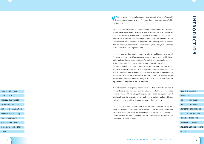Introduction

[The voluntary market](#page-3-0)

[The regulated market](#page-4-0)

[market statistics 2009](#page-5-0)

[Members the board](#page-7-0)

| ZU<br>$\mathbf 0$<br>$\bullet$ |
|--------------------------------|
| <b>FROM THE CHAIRMAN</b>       |
| INTRODUCTION                   |
| THE VOLUNTARY MARKET           |
| THE REGULATED MARKET           |
| MEMBERS & ORGANISATION         |
| <b>MARKET STATISTICS 2009</b>  |
| <b>FINANCIAL INFORMATION</b>   |
| <b>MEMBERS THE BOARD</b>       |
| <b>MEMBERS WORKING GROUPS</b>  |
| CONTACT                        |
|                                |
| 3                              |

[financial information](#page-6-0)

[Members working groups](#page-8-0)

[contact](#page-10-0)

[Members & organisation](#page-4-0)

**We are an association of market players in renewable electricity certificates with 239 members (as per 31-12-2009) in more than 22 countries, most of which** are situated in Europe.

## $\mathbf{z}$  $\equiv$   $\overline{\phantom{a}}$ 刀  $\bullet$  $\overline{\phantom{0}}$  $\blacksquare$  $\bigcap$  $\equiv$  $\Box$  $\overline{\phantom{0}}$

Our mission is to forge a pan-European strategy for stimulating the use of renewable energy. We believe an open market for renewable energy is the most cost-efficient approach for Europe as a whole and thus the best way to meet the targets in the RES Directive and to keep costs low for energy consumers. To create a European market, a robust system for the Guarantee of Origin of renewable energy is essential and we therefore strongly support the standard for national guarantee systems (EECS) set by the Association of Issuing Bodies (AIB).

In our approach we distinguish between the voluntary and the regulated market. The former is based on certified renewable energy sources in which certificates are traded and cancelled on a voluntary basis. The main driver in this market is a strong desire among consumers to exclusively consume renewable electricity. The regulated market came into existence when Member States accepted binding targets for renewable energy, which they are allowed to meet with electricity traded on international markets. The demand for renewable energy is linked to national targets and based on the RES Directive. We refer to this as a regulated market because the 'demand' for renewable energy is in a sense artificial and based on EU regulations (the targets set in the RES Directive).

RECS International was originally - and we still are - active on the voluntary market, in which large volumes have been generated, internationally traded and cancelled. These volumes are still increasing, although our ultimate goal is a regulated market. An internal market for renewable energy needs to be established and cost efficiency is clearly essential to achieve the ambitious targets that have been set.

In this 2009 edition of our Annual Report we first explain our focus on and activities within both the voluntary and the regulated markets. In the second part of the report we provide information about RECS International as an association, the people involved in the Board and other groups, and we present a financial overview of our association's activities in 2009.

### <span id="page-2-0"></span>FROM THE CHAIRMAN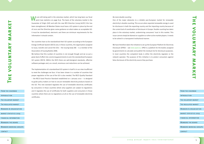[Introduction](#page-2-0) The voluntary market [The regulated market](#page-4-0) [market statistics 2009](#page-5-0) [Members the board](#page-7-0) [financial information](#page-6-0) [Members working groups](#page-8-0) [contact](#page-10-0) [Members & organisation](#page-4-0)

FROM THE CHAIRMAN

| <b>FROM THE CHAIRMAN</b>      |
|-------------------------------|
| INTRODUCTION                  |
| THE VOLUNTARY MARKET          |
| THE REGULATED MARKET          |
| MEMBERS & ORGANISATION        |
| <b>MARKET STATISTICS 2009</b> |
| <b>FINANCIAL INFORMATION</b>  |
| <b>MEMBERS THE BOARD</b>      |
| MEMBERS WORKING GROUPS        |
| CONTACT                       |
|                               |

<span id="page-3-0"></span>We are still doing well in the voluntary market, which has long been our focal<br>point (see statistics on page 8-9). The basis of the voluntary market is the Guarantee of Origin (GO) and with the new RES Directive (2009/28/EC) this has been strengthened. All Member States must have a GO system in place by the end of 2010 and the Directive gives some guidance on what makes an acceptable GO: it must be standardised, electronic and there are minimum requirements for the information it should contain.

Ten countries have so far standardised their GO system according to the European Energy Certificate System (EECS) and, in these countries, the organisation assigned to issue, transfer and cancel the  $GOS$  – the issuing body  $(IB)$  – is a member of the Association of Issuing Bodies (AIB).

**The voluntary market** D 刀  $\overline{\mathbf{v}}$ 

We believe that this number of countries is not enough though and we so put a great deal of effort into convincing governments to join the standardised European GO system (EECS). Within the EECS there are well-designed standards, effective software packages and, as a result, enormous cost reductions can be achieved.

The implementation of a standardised GO system in itself is in our view insufficient to meet the challenges we face. It has been shown in a number of countries that proper regulation of the use of the GO is also needed. The RECS Quality Standard – the RECS Good Practice Standard established on 1 January 2010 – is designed to guide policy makers on how to secure renewable electricity products based on the GO. This new standard regulates the use of renewable electricity certificates by consumers in those countries where only suppliers are subject to regulations and it regulates the use of certificates for both suppliers and consumers in those countries where there are no regulations at all on the use of renewable electricity certificates.

### *No more double counting*

One of the major obstacles to a reliable pan-European market for renewable electricity is double counting. This occurs when exported renewable energy is used for disclosure in both the exporting country and the importing country because of the current lack of coordination of disclosure in Europe. Double counting has taken place in the voluntary market, undermining consumers' trust in this market. This issue cannot simply be blamed on suppliers or other active market players. It needs to be solved in a transparent institutional manner.

We have therefore taken the initiative to set up the European Platform for Electricity Disclosure (EPED) – see www.eped.eu. EPED is a platform for the bodies assigned by governments to calculate and publish the residual mix for disclosure purposes. In most countries the competent body is either the electricity regulator or the network operator. The purpose of this initiative is to protect consumers against false disclosure of the electricity source they purchase.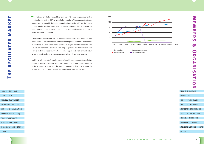| <b>FROM THE CHAIRMAN</b>          |
|-----------------------------------|
|                                   |
| INTRODUCTION                      |
|                                   |
| THE VOLUNTARY MARKET              |
|                                   |
| THE REGULATED MARKET              |
|                                   |
| <b>MEMBERS &amp; ORGANISATION</b> |
|                                   |
| <b>MARKET STATISTICS 2009</b>     |
|                                   |
| <b>FINANCIAL INFORMATION</b>      |
|                                   |
| <b>MEMBERS THE BOARD</b>          |
|                                   |
| <b>MEMBERS WORKING GROUPS</b>     |
|                                   |
| CONTACT                           |
|                                   |

[Introduction](#page-2-0)

[The voluntary market](#page-3-0)

The regulated market

[Members the board](#page-7-0)

[financial information](#page-6-0)

[Members working groups](#page-8-0)

[contact](#page-10-0)

Members & organisation

MARKET STATISTICS 2009

<span id="page-4-0"></span>The national targets for renewable energy are 50% based on power generation<br>potential and 50% on GDP. As a result, for a number of rich countries the targets cannot easily be met with their own potential and need to be achieved via imports. In other words, Member States need to cooperate to meet their targets and the three cooperation mechanisms in the RES Directive provide the legal framework within which they can do this.

**Members & Organisation** 3  $\overline{\mathbf{u}}$ m 刀 **In**  $\blacksquare$ D **In**  $\bigcirc$  $\overline{\phantom{a}}$ 

FROM THE CHAIRMAN

In the spring of 2009 we took the initiative to launch discussions on the cooperation mechanisms. Our main intention is to explore the potential of these mechanisms in situations in which governments and market players need to cooperate. Joint projects are considered the most promising cooperation mechanism for market players. Setting up statistical transfer and joint support systems is primarily a task for governments and market players are not involved in these mechanisms.

Looking at joint projects (including cooperation with countries outside the EU) we anticipate project developers selling such projects to buying countries and the buying countries agreeing with the hosting countries on how best to share the targets. Naturally, the most cost-efficient projects will be carried out first.

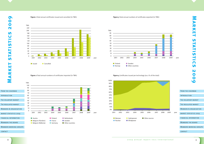

[contact](#page-10-0)



**Figure 1** Total annual certificates issued and cancelled (in TWh)

**Figure 2** Total annual numbers of certificates imported (in TWh)

### **Figure 3** Total annual numbers of certificates exported (in TWh)

<span id="page-5-0"></span>



**Figure 4** Certificates issued per technology (as a % of the total)



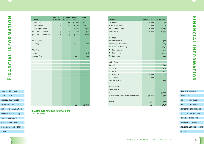[Introduction](#page-2-0) [The voluntary market](#page-3-0) [The regulated market](#page-4-0) [market statistics 2009](#page-5-0) financial information [Members & organisation](#page-4-0)

FROM THE CHAIRMAN

[Members the board](#page-7-0)

[Members working groups](#page-8-0)

[contact](#page-10-0)

[The voluntary market](#page-3-0)

[The regulated market](#page-4-0)

[Members the board](#page-7-0)

financial information

[Members working groups](#page-8-0)

[Members & organisation](#page-4-0)

MARKET STATISTICS 2009

<span id="page-6-0"></span>

|                      | <b>Incomes</b>                               | <b>Members</b><br># (budget) | <b>Members</b><br># (real) | <b>Budget</b><br>2009 | Actuals<br>2009 |
|----------------------|----------------------------------------------|------------------------------|----------------------------|-----------------------|-----------------|
|                      | <b>Big Members</b>                           | 73                           |                            | 96 292,000            | 372,000         |
|                      | <b>Small Members</b>                         | 129                          | 88                         | 76,500                | 79,200          |
|                      | Supporting members                           | 4                            | 11                         | 2,000                 | 5,500           |
|                      | <b>Quality Standard RECS</b>                 | 3 <sup>7</sup>               | 5 <sup>5</sup>             | 500                   | 500             |
|                      | <b>Quality Standard non-RECS</b>             | 6 <sup>1</sup>               | $\overline{7}$             | 3,000                 | 2,100           |
|                      |                                              |                              |                            |                       |                 |
|                      | Other projects                               |                              |                            |                       |                 |
|                      | REXchange                                    |                              |                            | 20,000                | 20,000          |
|                      |                                              |                              |                            |                       |                 |
|                      | Other income                                 |                              |                            |                       |                 |
|                      | Interest                                     |                              |                            |                       | 438             |
|                      | Reminder fees                                |                              |                            | 1,500                 | 100             |
|                      |                                              |                              |                            |                       |                 |
|                      |                                              |                              |                            |                       |                 |
|                      |                                              |                              |                            |                       |                 |
|                      |                                              |                              |                            |                       |                 |
|                      |                                              |                              |                            |                       |                 |
|                      |                                              |                              |                            |                       |                 |
|                      |                                              |                              |                            |                       |                 |
|                      |                                              |                              |                            |                       |                 |
|                      |                                              |                              |                            |                       |                 |
|                      |                                              |                              |                            |                       |                 |
| E CHAIRMAN           |                                              |                              |                            |                       |                 |
|                      |                                              |                              |                            |                       |                 |
|                      |                                              |                              |                            |                       |                 |
| <b>JNTARY MARKET</b> |                                              |                              |                            |                       |                 |
|                      |                                              |                              |                            |                       |                 |
| ULATED MARKET        |                                              |                              |                            | 395,500               | 497,838         |
| S & ORGANISATION     | <b>FINANCIAL OVERVIEW RECS INTERNATIONAL</b> |                              |                            |                       |                 |
| STATISTICS 2009      | <b>31 DECEMBER 2009</b>                      |                              |                            |                       |                 |
| AL INFORMATION       |                                              |                              |                            |                       |                 |
| <b>S THE BOARD</b>   |                                              |                              |                            |                       |                 |
| S WORKING GROUPS     |                                              |                              |                            |                       |                 |
|                      |                                              |                              |                            |                       |                 |
|                      |                                              |                              |                            |                       |                 |
|                      |                                              |                              |                            |                       |                 |

| <b>Expenses</b>                                 | Budget 2009 | Actuals 2009 |
|-------------------------------------------------|-------------|--------------|
| Secretariat                                     | 238,000     | 240,979      |
| <b>Travel &amp; Accomodation</b>                | 12,000      | 4,753        |
| PR & Communication                              | 45,000      | 83,814       |
| Legal advice                                    | 10,000      | 11,518       |
|                                                 |             |              |
| Meetings                                        |             |              |
| Stockholm Forum                                 |             | 597          |
| Copenhagen dinner April                         |             | 2,205        |
| <b>Governmental Workshop</b>                    |             | 1,040        |
| <b>Meeting Brussels</b>                         |             | 4,972        |
| <b>Meeting Geneva</b>                           |             | 2,209        |
| <b>Meeting Rome</b>                             |             | 412          |
|                                                 |             |              |
| Office Costs                                    |             |              |
| General                                         |             | 644          |
| Conference calls                                |             | 2,365        |
| <b>Bank costs</b>                               |             | 902          |
| Bookkeeping                                     | 8,000       | 9,945        |
| Contingency                                     | 1,000       |              |
| Uncollectable debtors                           |             | 3,960        |
|                                                 |             |              |
| <b>Special Projects</b>                         |             |              |
| CEN/CENELEC                                     |             | 1,235        |
| EPED                                            |             | 19,000       |
| <b>Evaluation research Unspecified Projects</b> | 50,000      | 2,500        |
|                                                 |             |              |
| <b>Result</b>                                   | 31,500      | 86,788       |
|                                                 | 395,500     | 479,838      |

# **Financial information**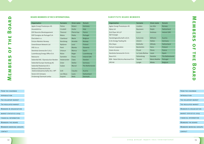# [Introduction](#page-2-0) [The voluntary market](#page-3-0) [The regulated market](#page-4-0) [market statistics 2009](#page-5-0) Members the board [financial information](#page-6-0) [Members working groups](#page-8-0) [Members & organisation](#page-4-0)

FROM THE CHAIRMAN

[contact](#page-10-0)

[The voluntary market](#page-3-0)

[The regulated market](#page-4-0)

Members the board

[financial information](#page-6-0)

[Members working groups](#page-8-0)

[contact](#page-10-0)

[Members & organisation](#page-4-0)

MARKET STATISTICS 2009

**Members of the**  3 Iш 3  $\overline{\mathbf{u}}$ **THE** 刀  $\mathbf{u}$  $\bigcirc$ 57  $\equiv$ ЭĖ, **ITT BOARD** 

FROM THE CHAIRMAN

**INTRODUCTION** 

| Organisation                       | <b>Surname</b>   | Given name    | Domain          |
|------------------------------------|------------------|---------------|-----------------|
| Agder Energi Produksjon AS         | Liodden          | Jan Atle      | Norway          |
| Alpig Ltd                          | <b>Baumann</b>   | Ralph         | Switzerland     |
| DLA Piper UK LLP                   | Gunst            | Andreas       | Ireland (UK)    |
| E&T Energie                        |                  |               |                 |
| Handelsgesellschaft m.B.H.         | Kulischek        | Wilhelm       | Austria         |
| E.On Energy Trading AG             | Ulreich          | <b>Stefan</b> | Germany         |
| EGL/Axpo                           | <b>Bütikofer</b> | Alfredo       | Switzerland     |
| <b>Fortum Corporation</b>          | <b>Backström</b> | Hans          | Finland         |
| Green-Access                       | Picard           | Pierre        | France          |
| Iberdrola Generación S.A.U.        | La Casta Muñoa   | Leyre         | Spain           |
| Nuon N.V.                          | Fahrenkrog       | Daniela       | The Netherlands |
| REN - Rede Eléctrica Nacional S.A. | <b>Tavares</b>   | Maria Natália | Portugal        |
| <b>SPE NV</b>                      | Langie           | Mieke         | <b>Belgium</b>  |

### **Substitute board members**

| <b>Organisation</b>                                            | <b>Surname</b> | Given name    | <b>Domain</b>          |
|----------------------------------------------------------------|----------------|---------------|------------------------|
| Agder Energi Produksjon AS                                     | Palme          | <b>Robert</b> | Germany                |
| Assoelettrica                                                  | Cicoletti      | Giulio        | Italy                  |
| EDF Branche Développement                                      | Therond        | Pierre-Guy    | <b>France</b>          |
| EDP Energias de Portugal S.A.                                  | <b>Matos</b>   | Pedro         | Portugal               |
| Electrabel n.v.                                                | Claerbout      | Marie         | <b>Belgium</b>         |
| Fortum Markets Norway                                          | Nordskog       | Annette       | Norway                 |
| <b>GreenStream Network Ltd</b>                                 | Nykänen        | Jussi         | <b>Finland</b>         |
| HSE d.o.o.                                                     | Povh           | <b>Blanka</b> | Slovenia               |
| Iberdrola Generación S.A.U.                                    | Urtasun        | <b>Blanca</b> | Spain                  |
| Luxembourg Energy Office S.A.                                  | Rütze          | Roger         | Luxembourg             |
| Natsource                                                      | Santokie       | Fiona         | Ireland (UK)           |
| Vattenfall AB / Elproduction Norden                            | Hedenström     | Claes         | Sweden                 |
| Vattenfall Europe Hamburg AG                                   | Zisler         | <b>Stefan</b> | Germany                |
| Vattenfall Nederland B.V.                                      | Galjee         | Marcel        | <b>The Netherlands</b> |
| Verbund (Österreichische<br>Elektrizitätswirtschafts) AG / APT | Grill          | Claudia       | Austria                |
| Verein ECS Schweiz                                             | von Moos       | Louis         | Switzerland            |
| Vindenergi Danmark amba                                        | Dupont         | <b>Niels</b>  | Denmark                |

### <span id="page-7-0"></span>**Board members of RECS International**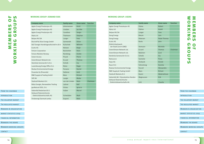- FROM THE CHAIRMAN
- [Introduction](#page-2-0)
- [The voluntary market](#page-3-0)
- [The regulated market](#page-4-0)
- [Members & organisation](#page-4-0)
- [market statistics 2009](#page-5-0)
- [financial information](#page-6-0)
- [Members the board](#page-7-0)
- Members working groups
- [contact](#page-10-0)

| INTRODUCTION                      |
|-----------------------------------|
|                                   |
| THE VOLUNTARY MARKET              |
|                                   |
| THE REGULATED MARKET              |
|                                   |
| <b>MEMBERS &amp; ORGANISATION</b> |
|                                   |
| <b>MARKET STATISTICS 2009</b>     |
|                                   |
| <b>FINANCIAL INFORMATION</b>      |
|                                   |
| MEMBERS THE BOARD                 |
|                                   |
| MEMBERS WORKING GROUPS            |
|                                   |

FROM THE CHAIRMAN

[contact](#page-10-0)

| <b>Company name</b>                                    | <b>Family name</b> | <b>Given name</b>   | <b>Function</b> |
|--------------------------------------------------------|--------------------|---------------------|-----------------|
| Agder Energi Produksjon AS                             | Palme              | Robert              |                 |
| Alpig Ltd                                              | Python             | André               |                 |
| Belpex NV/SA                                           | Langer             | Yves                |                 |
| Dong Energy                                            | <b>Breum</b>       | Lars                |                 |
| Dong Energy                                            | Petersen           | <b>Peder Thomas</b> |                 |
| Ecohz AS                                               | Ravlo              | John                |                 |
| Elektrizitaetswerk<br>der Stadt Zurich (EWZ)           | Hermann            | Michelle            |                 |
| GreenStream Network Ltd.                               | Eccard             | <b>Thomas</b>       | Chairman        |
| GreenStream Network Ltd.                               | Nykänen            | Jussi               |                 |
| Iberdrola Generación S.A.U.                            | Scheib             | Ina                 |                 |
| <b>Natsource</b>                                       | Santokie           | Fiona               |                 |
| Axpo AG                                                | Vonbank            | Arnold              |                 |
| Nuon N.V.                                              | Fahrenkrog         | Daniela             |                 |
| <b>Nvalue Environmental Energy</b>                     | Faccoli            | Alessandro          |                 |
| <b>RWE Supply &amp; Trading GmbH</b>                   | Marx               | Richart             |                 |
| Statkraft Markets B.V.                                 | Kasmi              | Abderrahman         |                 |
| Vattenfall AB / Elproduktion Norden                    | Magnusson          | Erik                |                 |
| Verbund Österreichische<br>Elektrizitätswirtschafts AG | Grill              | Claudia             |                 |

| <b>Given name</b>   | <b>Function</b> |
|---------------------|-----------------|
| Robert              |                 |
| André               |                 |
| Yves                |                 |
| Lars                |                 |
| <b>Peder Thomas</b> |                 |
| John                |                 |
| Michelle            |                 |
| Thomas              | Chairman        |
| lussi               |                 |
| Ina                 |                 |
| Fiona               |                 |
| Arnold              |                 |
| Daniela             |                 |
| Alessandro          |                 |
| <b>Richart</b>      |                 |
| Abderrahman         |                 |
| Erik                |                 |
| Claudia             |                 |

ξ **working groups** 3 **Members of**  $\mathbb{R}$  $\mathbf{H}$  $\bullet$ ζ 刀 X  $\overline{\mathbf{u}}$  $\sim 10^{-10}$  $\overline{\mathbf{H}}$ Ζ  $\overline{\phantom{a}}$  $\Omega$  $\overline{u}$  $\mathbf \Omega$  $\bullet$ 刀  $\mathbf{H}$  $\bullet$  $\blacksquare$  $\overline{\mathbf{U}}$  $\overline{u}$ 

| <b>Company name</b>                                    | <b>Family name</b> | <b>Given name</b> | <b>Function</b> |
|--------------------------------------------------------|--------------------|-------------------|-----------------|
| Agder Energi Produksjon AS                             | Johannessen        | Arvid             |                 |
| Agder Energi Produksjon AS                             | Liodden            | Jan Atle          |                 |
| Agder Energi Produksjon AS                             | Cavallaro          | Sergio            |                 |
| Alpiq Ltd                                              | Thalmann           | Stephan           |                 |
| Belpex NV/SA                                           | Langer             | Yves              |                 |
| Bischoff & Ditze Energy GmbH                           | Germeroth          | Oliver            |                 |
| E&T Energie Handelsgesellschaft m.B.H.                 | Kulischek          | Wilhelm           |                 |
| Ecohz AS                                               | Nielsen            | <b>Birgit</b>     |                 |
| Fortum Corporation                                     | Backström          | Hans              |                 |
| Fortum Markets Norway                                  | Nordskog           | Anette            |                 |
| Green-Access                                           | Picard             | Pierre            |                 |
| GreenStream Network Ltd.                               | Eccard             | <b>Thomas</b>     |                 |
| Iberdrola Generación S.A.U.                            | Scheib             | Ina               |                 |
| Luxembourg Energy Office S.A.                          | Rütze              | Roger             |                 |
| <b>Nvalue Environmental Energy</b>                     | Forzano            | Daniel            |                 |
| Puravida Oy (Proverde)                                 | Selänne            | Antti             |                 |
| RWE Supply & Trading GmbH                              | Marx               | Richart           |                 |
| <b>SPE NV</b>                                          | Langie             | Mieke             |                 |
| Statkraft Markets B.V.                                 | van der Linden     | <b>Niels</b>      | Chairman        |
| Rätia Energie, Renewables Trading                      | Lattner            | Ralf              |                 |
| gasNatural SDG, S.A.                                   | Gistau             | Ignacio           |                 |
| Vattenfall Nederland B.V.                              | Galjee             | Marcel            |                 |
| Verbund Österreichische<br>Elektrizitätswirtschafts AG | Schwidden          | Mark              |                 |
| Vindenergi Danmark amba                                | Dupont             | <b>Niels</b>      |                 |

### <span id="page-8-0"></span>**working group: demand side working group: Users**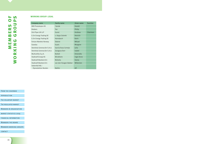| FROM THE CHAIRMAN             |  |  |  |
|-------------------------------|--|--|--|
| INTRODUCTION                  |  |  |  |
| THE VOLUNTARY MARKET          |  |  |  |
| THE REGULATED MARKET          |  |  |  |
| MEMBERS & ORGANISATION        |  |  |  |
| <b>MARKET STATISTICS 2009</b> |  |  |  |
| <b>FINANCIAL INFORMATION</b>  |  |  |  |
| MEMBERS THE BOARD             |  |  |  |
| <b>MEMBERS WORKING GROUPS</b> |  |  |  |
| CONTACT                       |  |  |  |

| <b>Company name</b>                           | <b>Family name</b>    | Given name | <b>Function</b> |
|-----------------------------------------------|-----------------------|------------|-----------------|
| <b>BKK Produksjon AS</b>                      | Sande                 | Harald     |                 |
| <b>Brabers</b>                                | Tan                   | Philip     |                 |
| <b>DLA Piper UK LLP</b>                       | Gunst                 | Andreas    | Chairman        |
| E.On Energy Trading SE                        | v. Kopp-Colomb        | Henrich    |                 |
| E.On Energy Trading SE                        | Horndasch             | Karin      |                 |
| Fortum Markets Norway                         | Steene                | Mikael     |                 |
| Gaselys                                       | Guais                 | Morgane    |                 |
| Iberdrola Generación S.A.U.                   | García-Sosa Cornejo   | Julia      |                 |
| Iberdrola Generación S.A.U.                   | Zaragoza Dorr         | Isabel     |                 |
| Multiutility S.p.A.                           | <b>Bottoli</b>        | Antonella  |                 |
| Statkraft Energi AS                           | <b>Blindheim</b>      | Inger-Anne |                 |
| Statkraft Markets B.V.                        | Mshelia               | Gloria     |                 |
| Statkraft Markets B.V.                        | van den Hoogen-Bakker | Willemien  |                 |
| Vattenfall AB /<br><b>Elproduktion Norden</b> | <b>Nehlin</b>         | Alf        |                 |

### **working group: legal**